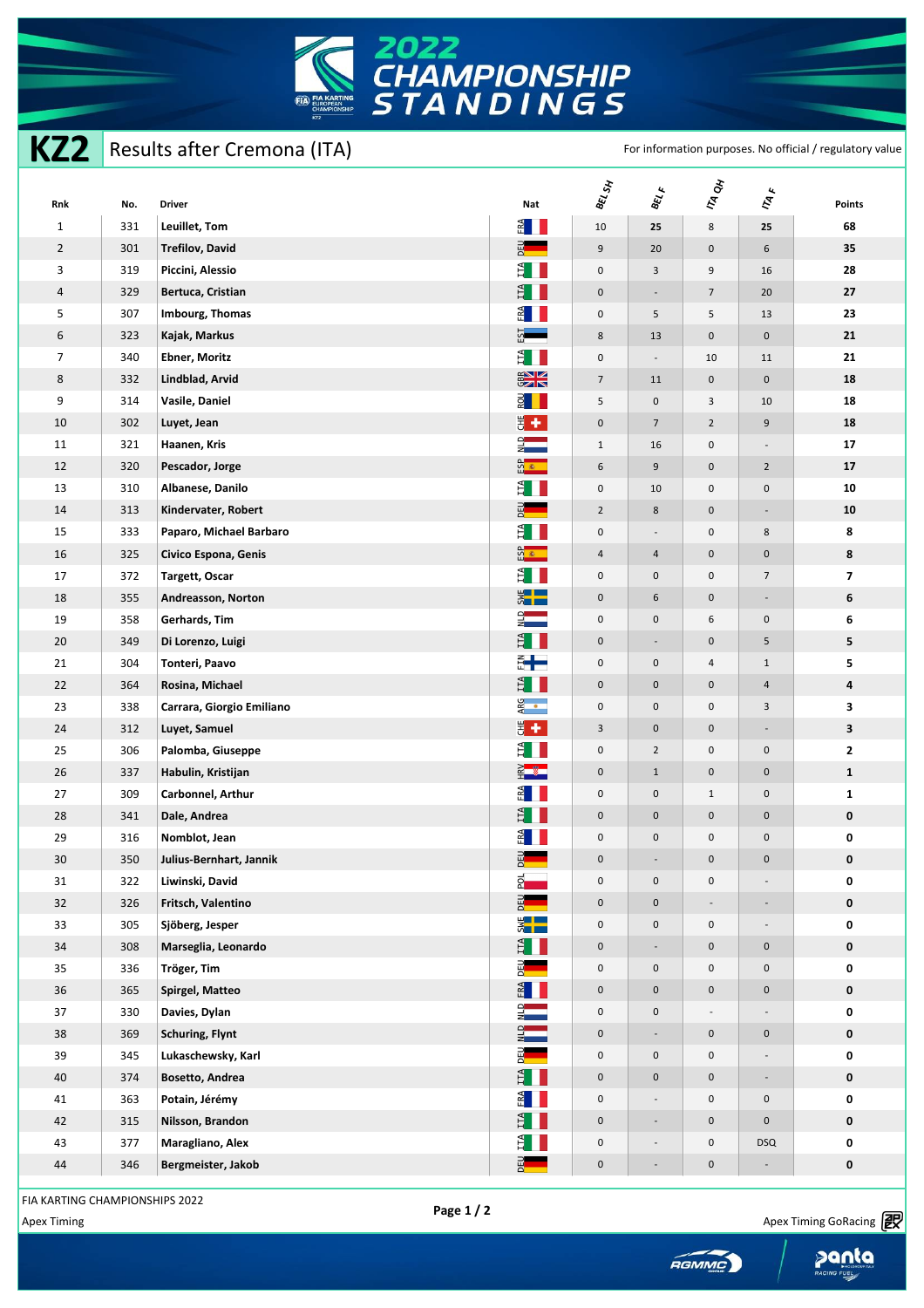

**KZ2** Results after Cremona (ITA) For information purposes. No official / regulatory value

| Rnk            | No. | <b>Driver</b>             | Nat                             | <b>BEL SH</b>           | $\theta_{\tilde{\epsilon} \tilde{\ell}_\ell}$ | <b>TA ON</b>             | $\bar{r}_{A,k}$          | <b>Points</b>           |
|----------------|-----|---------------------------|---------------------------------|-------------------------|-----------------------------------------------|--------------------------|--------------------------|-------------------------|
| $\mathbf{1}$   | 331 | Leuillet, Tom             | $rac{1}{\sqrt{2}}$              | $10\,$                  | 25                                            | 8                        | 25                       | 68                      |
| $\overline{2}$ | 301 | <b>Trefilov, David</b>    | 메이                              | 9                       | 20                                            | $\pmb{0}$                | 6                        | 35                      |
| 3              | 319 | Piccini, Alessio          | $\sharp$ $\Box$                 | $\mathsf 0$             | 3                                             | 9                        | 16                       | 28                      |
| 4              | 329 | Bertuca, Cristian         | $H^4$                           | $\mathsf{O}\xspace$     | $\overline{\phantom{a}}$                      | $\overline{7}$           | 20                       | 27                      |
| 5              | 307 | Imbourg, Thomas           | $rac{1}{\sqrt{2}}$              | $\mathsf{O}\xspace$     | 5                                             | 5                        | 13                       | 23                      |
| 6              | 323 | Kajak, Markus             | $\frac{51}{15}$                 | 8                       | 13                                            | $\mathsf{O}\xspace$      | $\mathsf{O}$             | 21                      |
| $\overline{7}$ | 340 | <b>Ebner, Moritz</b>      | E I                             | $\mathsf 0$             | $\overline{\phantom{a}}$                      | 10                       | 11                       | 21                      |
| 8              | 332 | Lindblad, Arvid           | $rac{2}{5}$                     | $\overline{7}$          | 11                                            | $\mathsf{O}\xspace$      | $\pmb{0}$                | 18                      |
| 9              | 314 | Vasile, Daniel            | $\frac{1}{2}$                   | 5                       | $\mathsf{O}\xspace$                           | 3                        | 10                       | 18                      |
| 10             | 302 | Luyet, Jean               | $\frac{1}{5}$ +                 | $\mathsf{O}\xspace$     | $7\overline{ }$                               | $\overline{2}$           | 9                        | 18                      |
| 11             | 321 | Haanen, Kris              | $\frac{1}{2}$                   | $\mathbf{1}$            | 16                                            | $\mathsf{O}\xspace$      |                          | ${\bf 17}$              |
| 12             | 320 | Pescador, Jorge           | ណ្ឌ<br>អ                        | 6                       | 9                                             | $\mathsf{O}\xspace$      | $\overline{2}$           | 17                      |
| 13             | 310 | Albanese, Danilo          | E I                             | $\mathsf{O}\xspace$     | 10                                            | 0                        | $\mathsf{O}\xspace$      | 10                      |
| 14             | 313 | Kindervater, Robert       | 먭                               | $\overline{2}$          | 8                                             | $\mathbf 0$              | $\overline{\phantom{a}}$ | ${\bf 10}$              |
| 15             | 333 | Paparo, Michael Barbaro   | É I                             | $\mathsf{O}\xspace$     | $\overline{\phantom{a}}$                      | $\mathsf{O}\xspace$      | 8                        | 8                       |
| 16             | 325 | Civico Espona, Genis      | $\frac{6}{3}$                   | $\overline{4}$          | $\overline{a}$                                | 0                        | $\mathbf 0$              | 8                       |
| 17             | 372 | Targett, Oscar            | E I                             | $\mathsf{O}\xspace$     | $\mathsf{O}\xspace$                           | 0                        | $\overline{7}$           | $\overline{\mathbf{z}}$ |
| 18             | 355 | Andreasson, Norton        | $\frac{1}{2}$                   | $\mathsf{O}\xspace$     | 6                                             | $\pmb{0}$                | $\sim$                   | 6                       |
| 19             | 358 | Gerhards, Tim             | $rac{1}{z}$                     | $\mathsf{O}\xspace$     | $\mathsf{O}\xspace$                           | 6                        | $\mathsf{O}\xspace$      | 6                       |
| 20             | 349 | Di Lorenzo, Luigi         | $\frac{3}{2}$ $\blacksquare$    | $\mathsf{O}\xspace$     | ÷                                             | $\mathsf{O}\xspace$      | 5                        | 5                       |
| 21             | 304 | Tonteri, Paavo            | $\frac{2}{\pi}$ $\frac{1}{\pi}$ | $\mathsf 0$             | $\mathsf{O}\xspace$                           | 4                        | $\mathbf{1}$             | 5                       |
| 22             | 364 | Rosina, Michael           | E I                             | $\mathsf{O}\xspace$     | $\mathsf{O}\xspace$                           | $\mathsf{O}\xspace$      | $\overline{a}$           | 4                       |
| 23             | 338 | Carrara, Giorgio Emiliano | ARG<br>•                        | $\mathsf{O}\xspace$     | $\mathsf{O}\xspace$                           | 0                        | 3                        | 3                       |
| 24             | 312 | Luyet, Samuel             | $\frac{1}{5}$ +                 | $\overline{\mathbf{3}}$ | $\mathbf 0$                                   | $\mathsf{O}\xspace$      | $\overline{\phantom{a}}$ | $\mathbf{3}$            |
| 25             | 306 | Palomba, Giuseppe         | E I                             | $\mathsf{O}\xspace$     | $\overline{2}$                                | 0                        | $\mathsf 0$              | $\mathbf{2}$            |
| 26             | 337 | Habulin, Kristijan        | $\frac{2}{1}$                   | $\mathbf 0$             | $\mathbf{1}$                                  | $\mathsf{O}\xspace$      | $\pmb{0}$                | ${\bf 1}$               |
| 27             | 309 | Carbonnel, Arthur         | $rac{1}{\sqrt{2}}$              | $\mathsf 0$             | $\mathsf{O}\xspace$                           | $\mathbf{1}$             | $\mathsf{O}\xspace$      | $\mathbf{1}$            |
| 28             | 341 | Dale, Andrea              | $H^4$                           | $\mathsf{O}\xspace$     | $\pmb{0}$                                     | $\mathsf{O}\xspace$      | $\mathsf{O}$             | 0                       |
| 29             | 316 | Nomblot, Jean             | $rac{1}{\sqrt{2}}$              | $\pmb{0}$               | $\mathsf{O}\xspace$                           | 0                        | $\pmb{0}$                | 0                       |
| 30             | 350 | Julius-Bernhart, Jannik   | 品<br>이                          | 0                       | $\overline{a}$                                | $\mathsf 0$              | 0                        | $\pmb{0}$               |
| 31             | 322 | Liwinski, David           | <u> 중</u>                       | $\mathsf{O}\xspace$     | $\mathsf{O}\xspace$                           | 0                        |                          | 0                       |
| 32             | 326 | Fritsch, Valentino        | $\frac{1}{2}$                   | $\mathsf{O}\xspace$     | $\mathsf{O}\xspace$                           | $\overline{\phantom{a}}$ | $\overline{\phantom{a}}$ | $\pmb{0}$               |
| 33             | 305 | Sjöberg, Jesper           | E                               | $\mathsf{O}\xspace$     | $\mathsf{O}\xspace$                           | $\mathsf{O}\xspace$      |                          | 0                       |
| 34             | 308 | Marseglia, Leonardo       | ÊH                              | $\mathbf 0$             | ÷,                                            | $\pmb{0}$                | $\pmb{0}$                | 0                       |
| 35             | 336 | Tröger, Tim               | 品<br>이                          | $\mathsf{O}\xspace$     | $\mathbf 0$                                   | $\mathsf{O}\xspace$      | $\mathsf{O}\xspace$      | 0                       |
| 36             | 365 | Spirgel, Matteo           | E                               | $\mathbf 0$             | $\mathsf{O}\xspace$                           | $\mathsf{O}\xspace$      | $\mathbf 0$              | $\pmb{0}$               |
| 37             | 330 | Davies, Dylan             | $\frac{1}{2}$                   | $\mathsf{O}\xspace$     | $\pmb{0}$                                     | $\overline{\phantom{a}}$ |                          | 0                       |
| 38             | 369 | Schuring, Flynt           | $\frac{1}{2}$                   | $\mathbf 0$             | ÷.                                            | $\mathbf 0$              | $\mathsf{O}\xspace$      | 0                       |
| 39             | 345 | Lukaschewsky, Karl        | 品<br>이                          | $\mathsf{O}\xspace$     | $\mathsf{O}\xspace$                           | $\mathsf{O}\xspace$      |                          | 0                       |
| 40             | 374 | Bosetto, Andrea           | E I                             | $\mathbf 0$             | $\mathsf{O}\xspace$                           | $\pmb{0}$                | $\overline{\phantom{a}}$ | 0                       |
| 41             | 363 | Potain, Jérémy            | $rac{1}{\sqrt{2}}$              | $\mathsf{O}\xspace$     |                                               | 0                        | $\mathsf{O}\xspace$      | 0                       |
| 42             | 315 | Nilsson, Brandon          | E I                             | $\mathbf 0$             | $\overline{a}$                                | $\mathsf{O}\xspace$      | $\mathbf 0$              | 0                       |
| 43             | 377 | Maragliano, Alex          | Ê I                             | $\mathsf{O}\xspace$     | $\overline{\phantom{a}}$                      | $\pmb{0}$                | <b>DSQ</b>               | 0                       |
| $44\,$         | 346 | Bergmeister, Jakob        | $rac{1}{2}$                     | $\mathbf 0$             | ÷,                                            | $\mathsf{O}\xspace$      | $\overline{\phantom{a}}$ | $\pmb{0}$               |

FIA KARTING CHAMPIONSHIPS 2022

Apex Timing - drive your success https://www.apex-timing.com/

Apex Timing **Apex Timing Conduct to the Conduct of Trage 1/2** 

panta

**FUEL**